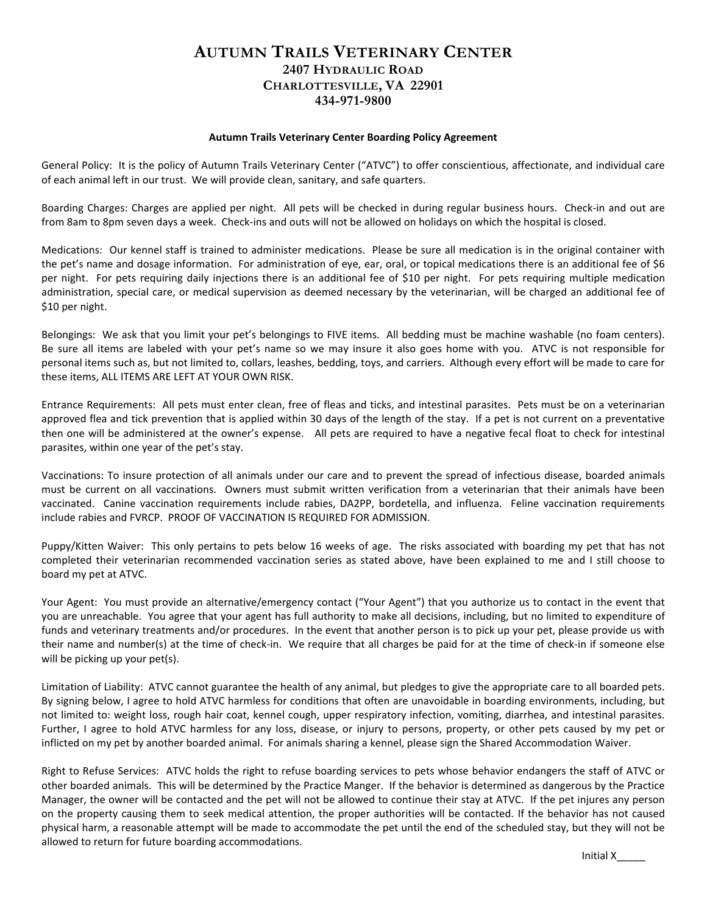## **AUTUMN TRAILS VETERINARY CENTER 2407 HYDRAULIC ROAD CHARLOTTESVILLE, VA 22901 434-971-9800**

## **Autumn Trails Veterinary Center Boarding Policy Agreement**

General Policy: It is the policy of Autumn Trails Veterinary Center ("ATVC") to offer conscientious, affectionate, and individual care of each animal left in our trust. We will provide clean, sanitary, and safe quarters.

Boarding Charges: Charges are applied per night. All pets will be checked in during regular business hours. Check-in and out are from 8am to 8pm seven days a week. Check-ins and outs will not be allowed on holidays on which the hospital is closed.

Medications: Our kennel staff is trained to administer medications. Please be sure all medication is in the original container with the pet's name and dosage information. For administration of eye, ear, oral, or topical medications there is an additional fee of \$6 per night. For pets requiring daily injections there is an additional fee of \$10 per night. For pets requiring multiple medication administration, special care, or medical supervision as deemed necessary by the veterinarian, will be charged an additional fee of \$10 per night.

Belongings: We ask that you limit your pet's belongings to FIVE items. All bedding must be machine washable (no foam centers). Be sure all items are labeled with your pet's name so we may insure it also goes home with you. ATVC is not responsible for personal items such as, but not limited to, collars, leashes, bedding, toys, and carriers. Although every effort will be made to care for these items, ALL ITEMS ARE LEFT AT YOUR OWN RISK.

Entrance Requirements: All pets must enter clean, free of fleas and ticks, and intestinal parasites. Pets must be on a veterinarian approved flea and tick prevention that is applied within 30 days of the length of the stay. If a pet is not current on a preventative then one will be administered at the owner's expense. All pets are required to have a negative fecal float to check for intestinal parasites, within one year of the pet's stay.

Vaccinations: To insure protection of all animals under our care and to prevent the spread of infectious disease, boarded animals must be current on all vaccinations. Owners must submit written verification from a veterinarian that their animals have been vaccinated. Canine vaccination requirements include rabies, DA2PP, bordetella, and influenza. Feline vaccination requirements include rabies and FVRCP. PROOF OF VACCINATION IS REQUIRED FOR ADMISSION.

Puppy/Kitten Waiver: This only pertains to pets below 16 weeks of age. The risks associated with boarding my pet that has not completed their veterinarian recommended vaccination series as stated above, have been explained to me and I still choose to board my pet at ATVC.

Your Agent: You must provide an alternative/emergency contact ("Your Agent") that you authorize us to contact in the event that you are unreachable. You agree that your agent has full authority to make all decisions, including, but no limited to expenditure of funds and veterinary treatments and/or procedures. In the event that another person is to pick up your pet, please provide us with their name and number(s) at the time of check-in. We require that all charges be paid for at the time of check-in if someone else will be picking up your pet(s).

Limitation of Liability: ATVC cannot guarantee the health of any animal, but pledges to give the appropriate care to all boarded pets. By signing below, I agree to hold ATVC harmless for conditions that often are unavoidable in boarding environments, including, but not limited to: weight loss, rough hair coat, kennel cough, upper respiratory infection, vomiting, diarrhea, and intestinal parasites. Further, I agree to hold ATVC harmless for any loss, disease, or injury to persons, property, or other pets caused by my pet or inflicted on my pet by another boarded animal. For animals sharing a kennel, please sign the Shared Accommodation Waiver.

Right to Refuse Services: ATVC holds the right to refuse boarding services to pets whose behavior endangers the staff of ATVC or other boarded animals. This will be determined by the Practice Manger. If the behavior is determined as dangerous by the Practice Manager, the owner will be contacted and the pet will not be allowed to continue their stay at ATVC. If the pet injures any person on the property causing them to seek medical attention, the proper authorities will be contacted. If the behavior has not caused physical harm, a reasonable attempt will be made to accommodate the pet until the end of the scheduled stay, but they will not be allowed to return for future boarding accommodations.

Initial X\_\_\_\_\_